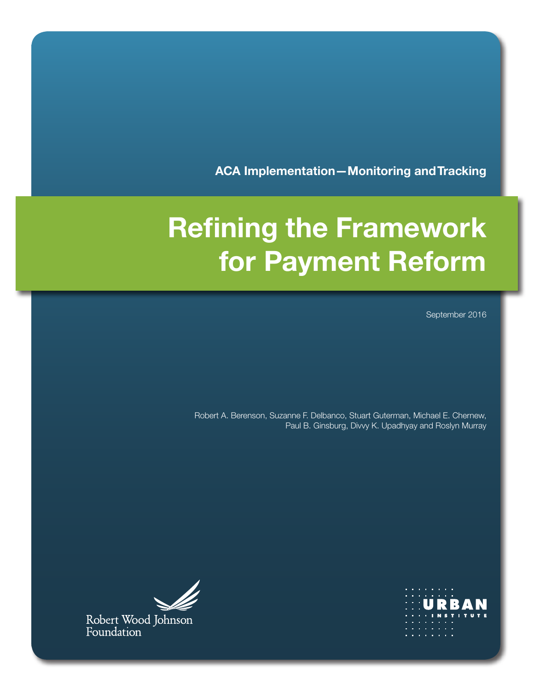**ACA Implementation—Monitoring and Tracking**

# **Refining the Framework for Payment Reform**

September 2016

Robert A. Berenson, Suzanne F. Delbanco, Stuart Guterman, Michael E. Chernew, Paul B. Ginsburg, Divvy K. Upadhyay and Roslyn Murray





Robert Wood Johnson<br>Foundation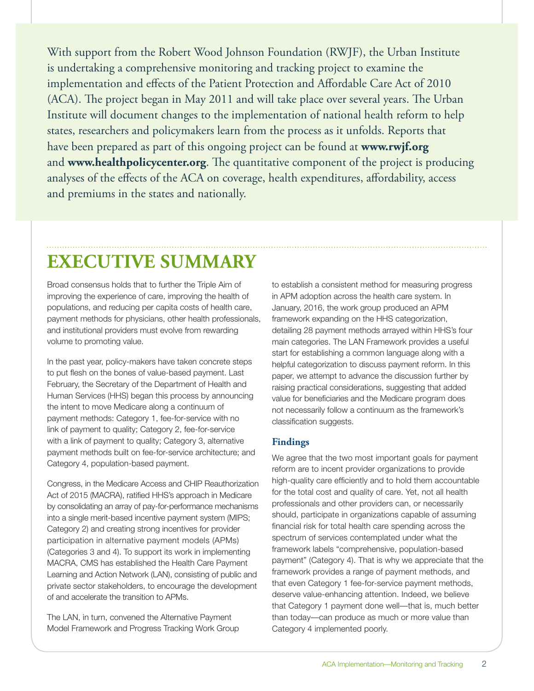With support from the Robert Wood Johnson Foundation (RWJF), the Urban Institute is undertaking a comprehensive monitoring and tracking project to examine the implementation and effects of the Patient Protection and Affordable Care Act of 2010 (ACA). The project began in May 2011 and will take place over several years. The Urban Institute will document changes to the implementation of national health reform to help states, researchers and policymakers learn from the process as it unfolds. Reports that have been prepared as part of this ongoing project can be found at **[www.rwjf.org](http://www.rwjf.org)** and **[www.healthpolicycenter.org](http://www.healthpolicycenter.org)**. The quantitative component of the project is producing analyses of the effects of the ACA on coverage, health expenditures, affordability, access and premiums in the states and nationally.

## **EXECUTIVE SUMMARY**

Broad consensus holds that to further the Triple Aim of improving the experience of care, improving the health of populations, and reducing per capita costs of health care, payment methods for physicians, other health professionals, and institutional providers must evolve from rewarding volume to promoting value.

In the past year, policy-makers have taken concrete steps to put flesh on the bones of value-based payment. Last February, the Secretary of the Department of Health and Human Services (HHS) began this process by announcing the intent to move Medicare along a continuum of payment methods: Category 1, fee-for-service with no link of payment to quality; Category 2, fee-for-service with a link of payment to quality; Category 3, alternative payment methods built on fee-for-service architecture; and Category 4, population-based payment.

Congress, in the Medicare Access and CHIP Reauthorization Act of 2015 (MACRA), ratified HHS's approach in Medicare by consolidating an array of pay-for-performance mechanisms into a single merit-based incentive payment system (MIPS; Category 2) and creating strong incentives for provider participation in alternative payment models (APMs) (Categories 3 and 4). To support its work in implementing MACRA, CMS has established the Health Care Payment Learning and Action Network (LAN), consisting of public and private sector stakeholders, to encourage the development of and accelerate the transition to APMs.

The LAN, in turn, convened the Alternative Payment Model Framework and Progress Tracking Work Group

to establish a consistent method for measuring progress in APM adoption across the health care system. In January, 2016, the work group produced an APM framework expanding on the HHS categorization, detailing 28 payment methods arrayed within HHS's four main categories. The LAN Framework provides a useful start for establishing a common language along with a helpful categorization to discuss payment reform. In this paper, we attempt to advance the discussion further by raising practical considerations, suggesting that added value for beneficiaries and the Medicare program does not necessarily follow a continuum as the framework's classification suggests.

### **Findings**

We agree that the two most important goals for payment reform are to incent provider organizations to provide high-quality care efficiently and to hold them accountable for the total cost and quality of care. Yet, not all health professionals and other providers can, or necessarily should, participate in organizations capable of assuming financial risk for total health care spending across the spectrum of services contemplated under what the framework labels "comprehensive, population-based payment" (Category 4). That is why we appreciate that the framework provides a range of payment methods, and that even Category 1 fee-for-service payment methods, deserve value-enhancing attention. Indeed, we believe that Category 1 payment done well—that is, much better than today—can produce as much or more value than Category 4 implemented poorly.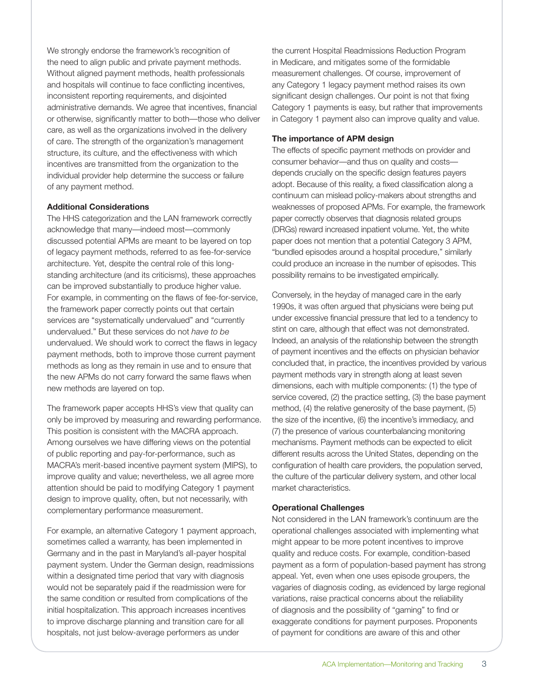We strongly endorse the framework's recognition of the need to align public and private payment methods. Without aligned payment methods, health professionals and hospitals will continue to face conflicting incentives, inconsistent reporting requirements, and disjointed administrative demands. We agree that incentives, financial or otherwise, significantly matter to both—those who deliver care, as well as the organizations involved in the delivery of care. The strength of the organization's management structure, its culture, and the effectiveness with which incentives are transmitted from the organization to the individual provider help determine the success or failure of any payment method.

#### **Additional Considerations**

The HHS categorization and the LAN framework correctly acknowledge that many—indeed most—commonly discussed potential APMs are meant to be layered on top of legacy payment methods, referred to as fee-for-service architecture. Yet, despite the central role of this longstanding architecture (and its criticisms), these approaches can be improved substantially to produce higher value. For example, in commenting on the flaws of fee-for-service, the framework paper correctly points out that certain services are "systematically undervalued" and "currently undervalued." But these services do not *have to be* undervalued. We should work to correct the flaws in legacy payment methods, both to improve those current payment methods as long as they remain in use and to ensure that the new APMs do not carry forward the same flaws when new methods are layered on top.

The framework paper accepts HHS's view that quality can only be improved by measuring and rewarding performance. This position is consistent with the MACRA approach. Among ourselves we have differing views on the potential of public reporting and pay-for-performance, such as MACRA's merit-based incentive payment system (MIPS), to improve quality and value; nevertheless, we all agree more attention should be paid to modifying Category 1 payment design to improve quality, often, but not necessarily, with complementary performance measurement.

For example, an alternative Category 1 payment approach, sometimes called a warranty, has been implemented in Germany and in the past in Maryland's all-payer hospital payment system. Under the German design, readmissions within a designated time period that vary with diagnosis would not be separately paid if the readmission were for the same condition or resulted from complications of the initial hospitalization. This approach increases incentives to improve discharge planning and transition care for all hospitals, not just below-average performers as under

the current Hospital Readmissions Reduction Program in Medicare, and mitigates some of the formidable measurement challenges. Of course, improvement of any Category 1 legacy payment method raises its own significant design challenges. Our point is not that fixing Category 1 payments is easy, but rather that improvements in Category 1 payment also can improve quality and value.

#### **The importance of APM design**

The effects of specific payment methods on provider and consumer behavior—and thus on quality and costs depends crucially on the specific design features payers adopt. Because of this reality, a fixed classification along a continuum can mislead policy-makers about strengths and weaknesses of proposed APMs. For example, the framework paper correctly observes that diagnosis related groups (DRGs) reward increased inpatient volume. Yet, the white paper does not mention that a potential Category 3 APM, "bundled episodes around a hospital procedure," similarly could produce an increase in the number of episodes. This possibility remains to be investigated empirically.

Conversely, in the heyday of managed care in the early 1990s, it was often argued that physicians were being put under excessive financial pressure that led to a tendency to stint on care, although that effect was not demonstrated. Indeed, an analysis of the relationship between the strength of payment incentives and the effects on physician behavior concluded that, in practice, the incentives provided by various payment methods vary in strength along at least seven dimensions, each with multiple components: (1) the type of service covered, (2) the practice setting, (3) the base payment method, (4) the relative generosity of the base payment, (5) the size of the incentive, (6) the incentive's immediacy, and (7) the presence of various counterbalancing monitoring mechanisms. Payment methods can be expected to elicit different results across the United States, depending on the configuration of health care providers, the population served, the culture of the particular delivery system, and other local market characteristics.

#### **Operational Challenges**

Not considered in the LAN framework's continuum are the operational challenges associated with implementing what might appear to be more potent incentives to improve quality and reduce costs. For example, condition-based payment as a form of population-based payment has strong appeal. Yet, even when one uses episode groupers, the vagaries of diagnosis coding, as evidenced by large regional variations, raise practical concerns about the reliability of diagnosis and the possibility of "gaming" to find or exaggerate conditions for payment purposes. Proponents of payment for conditions are aware of this and other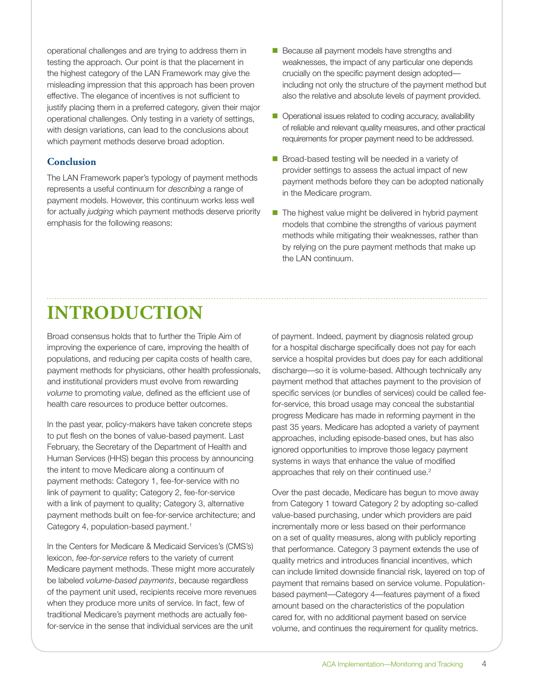operational challenges and are trying to address them in testing the approach. Our point is that the placement in the highest category of the LAN Framework may give the misleading impression that this approach has been proven effective. The elegance of incentives is not sufficient to justify placing them in a preferred category, given their major operational challenges. Only testing in a variety of settings, with design variations, can lead to the conclusions about which payment methods deserve broad adoption.

#### **Conclusion**

The LAN Framework paper's typology of payment methods represents a useful continuum for *describing* a range of payment models. However, this continuum works less well for actually *judging* which payment methods deserve priority emphasis for the following reasons:

- Because all payment models have strengths and weaknesses, the impact of any particular one depends crucially on the specific payment design adopted including not only the structure of the payment method but also the relative and absolute levels of payment provided.
- Operational issues related to coding accuracy, availability of reliable and relevant quality measures, and other practical requirements for proper payment need to be addressed.
- Broad-based testing will be needed in a variety of provider settings to assess the actual impact of new payment methods before they can be adopted nationally in the Medicare program.
- $\blacksquare$  The highest value might be delivered in hybrid payment models that combine the strengths of various payment methods while mitigating their weaknesses, rather than by relying on the pure payment methods that make up the LAN continuum.

# **INTRODUCTION**

Broad consensus holds that to further the Triple Aim of improving the experience of care, improving the health of populations, and reducing per capita costs of health care, payment methods for physicians, other health professionals, and institutional providers must evolve from rewarding *volume* to promoting *value*, defined as the efficient use of health care resources to produce better outcomes.

In the past year, policy-makers have taken concrete steps to put flesh on the bones of value-based payment. Last February, the Secretary of the Department of Health and Human Services (HHS) began this process by announcing the intent to move Medicare along a continuum of payment methods: Category 1, fee-for-service with no link of payment to quality; Category 2, fee-for-service with a link of payment to quality; Category 3, alternative payment methods built on fee-for-service architecture; and Category 4, population-based payment.<sup>1</sup>

In the Centers for Medicare & Medicaid Services's (CMS's) lexicon, *fee-for-service* refers to the variety of current Medicare payment methods. These might more accurately be labeled *volume-based payments*, because regardless of the payment unit used, recipients receive more revenues when they produce more units of service. In fact, few of traditional Medicare's payment methods are actually feefor-service in the sense that individual services are the unit

of payment. Indeed, payment by diagnosis related group for a hospital discharge specifically does not pay for each service a hospital provides but does pay for each additional discharge—so it is volume-based. Although technically any payment method that attaches payment to the provision of specific services (or bundles of services) could be called feefor-service, this broad usage may conceal the substantial progress Medicare has made in reforming payment in the past 35 years. Medicare has adopted a variety of payment approaches, including episode-based ones, but has also ignored opportunities to improve those legacy payment systems in ways that enhance the value of modified approaches that rely on their continued use.<sup>2</sup>

Over the past decade, Medicare has begun to move away from Category 1 toward Category 2 by adopting so-called value-based purchasing, under which providers are paid incrementally more or less based on their performance on a set of quality measures, along with publicly reporting that performance. Category 3 payment extends the use of quality metrics and introduces financial incentives, which can include limited downside financial risk, layered on top of payment that remains based on service volume. Populationbased payment—Category 4—features payment of a fixed amount based on the characteristics of the population cared for, with no additional payment based on service volume, and continues the requirement for quality metrics.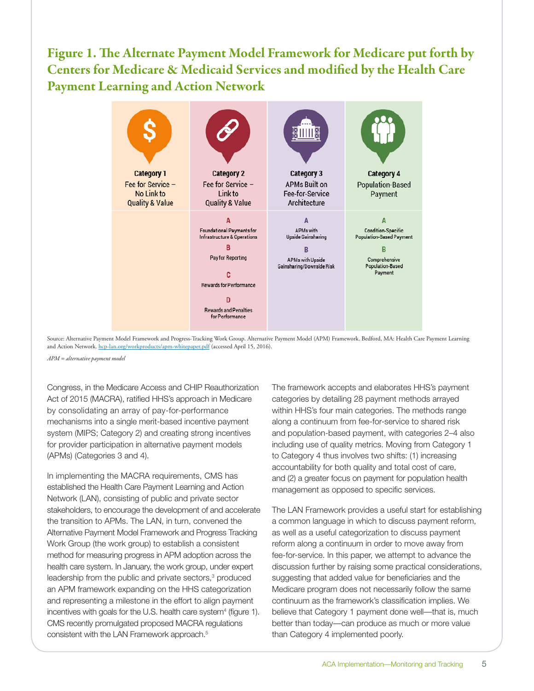### Figure 1. The Alternate Payment Model Framework for Medicare put forth by Centers for Medicare & Medicaid Services and modified by the Health Care Payment Learning and Action Network



Source: Alternative Payment Model Framework and Progress-Tracking Work Group. Alternative Payment Model (APM) Framework. Bedford, MA: Health Care Payment Learning and Action Network. [hcp-lan.org/workproducts/apm-whitepaper.pdf](http://hcp-lan.org/workproducts/apm-whitepaper.pdf) (accessed April 15, 2016).

*APM = alternative payment model*

Congress, in the Medicare Access and CHIP Reauthorization Act of 2015 (MACRA), ratified HHS's approach in Medicare by consolidating an array of pay-for-performance mechanisms into a single merit-based incentive payment system (MIPS; Category 2) and creating strong incentives for provider participation in alternative payment models (APMs) (Categories 3 and 4).

In implementing the MACRA requirements, CMS has established the Health Care Payment Learning and Action Network (LAN), consisting of public and private sector stakeholders, to encourage the development of and accelerate the transition to APMs. The LAN, in turn, convened the Alternative Payment Model Framework and Progress Tracking Work Group (the work group) to establish a consistent method for measuring progress in APM adoption across the health care system. In January, the work group, under expert leadership from the public and private sectors,<sup>3</sup> produced an APM framework expanding on the HHS categorization and representing a milestone in the effort to align payment incentives with goals for the U.S. health care system<sup>4</sup> (figure 1). CMS recently promulgated proposed MACRA regulations consistent with the LAN Framework approach.<sup>5</sup>

The framework accepts and elaborates HHS's payment categories by detailing 28 payment methods arrayed within HHS's four main categories. The methods range along a continuum from fee-for-service to shared risk and population-based payment, with categories 2–4 also including use of quality metrics. Moving from Category 1 to Category 4 thus involves two shifts: (1) increasing accountability for both quality and total cost of care, and (2) a greater focus on payment for population health management as opposed to specific services.

The LAN Framework provides a useful start for establishing a common language in which to discuss payment reform, as well as a useful categorization to discuss payment reform along a continuum in order to move away from fee-for-service. In this paper, we attempt to advance the discussion further by raising some practical considerations, suggesting that added value for beneficiaries and the Medicare program does not necessarily follow the same continuum as the framework's classification implies. We believe that Category 1 payment done well—that is, much better than today—can produce as much or more value than Category 4 implemented poorly.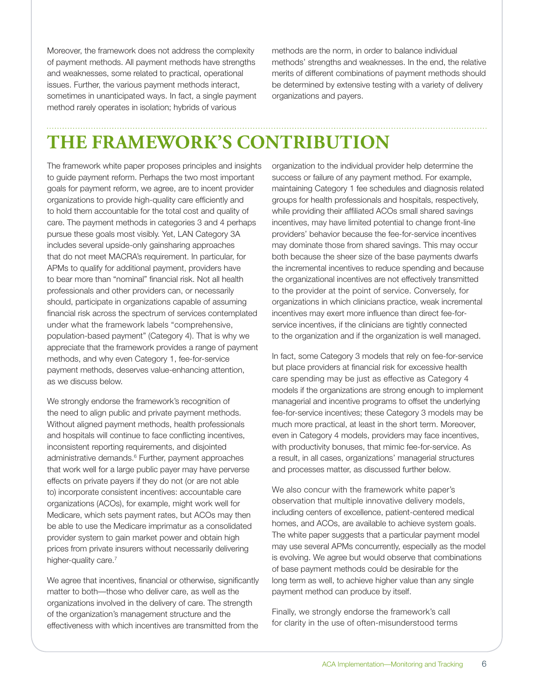Moreover, the framework does not address the complexity of payment methods. All payment methods have strengths and weaknesses, some related to practical, operational issues. Further, the various payment methods interact, sometimes in unanticipated ways. In fact, a single payment method rarely operates in isolation; hybrids of various

methods are the norm, in order to balance individual methods' strengths and weaknesses. In the end, the relative merits of different combinations of payment methods should be determined by extensive testing with a variety of delivery organizations and payers.

# **THE FRAMEWORK'S CONTRIBUTION**

The framework white paper proposes principles and insights to guide payment reform. Perhaps the two most important goals for payment reform, we agree, are to incent provider organizations to provide high-quality care efficiently and to hold them accountable for the total cost and quality of care. The payment methods in categories 3 and 4 perhaps pursue these goals most visibly. Yet, LAN Category 3A includes several upside-only gainsharing approaches that do not meet MACRA's requirement. In particular, for APMs to qualify for additional payment, providers have to bear more than "nominal" financial risk. Not all health professionals and other providers can, or necessarily should, participate in organizations capable of assuming financial risk across the spectrum of services contemplated under what the framework labels "comprehensive, population-based payment" (Category 4). That is why we appreciate that the framework provides a range of payment methods, and why even Category 1, fee-for-service payment methods, deserves value-enhancing attention, as we discuss below.

We strongly endorse the framework's recognition of the need to align public and private payment methods. Without aligned payment methods, health professionals and hospitals will continue to face conflicting incentives, inconsistent reporting requirements, and disjointed administrative demands.<sup>6</sup> Further, payment approaches that work well for a large public payer may have perverse effects on private payers if they do not (or are not able to) incorporate consistent incentives: accountable care organizations (ACOs), for example, might work well for Medicare, which sets payment rates, but ACOs may then be able to use the Medicare imprimatur as a consolidated provider system to gain market power and obtain high prices from private insurers without necessarily delivering higher-quality care.<sup>7</sup>

We agree that incentives, financial or otherwise, significantly matter to both—those who deliver care, as well as the organizations involved in the delivery of care. The strength of the organization's management structure and the effectiveness with which incentives are transmitted from the

organization to the individual provider help determine the success or failure of any payment method. For example, maintaining Category 1 fee schedules and diagnosis related groups for health professionals and hospitals, respectively, while providing their affiliated ACOs small shared savings incentives, may have limited potential to change front-line providers' behavior because the fee-for-service incentives may dominate those from shared savings. This may occur both because the sheer size of the base payments dwarfs the incremental incentives to reduce spending and because the organizational incentives are not effectively transmitted to the provider at the point of service. Conversely, for organizations in which clinicians practice, weak incremental incentives may exert more influence than direct fee-forservice incentives, if the clinicians are tightly connected to the organization and if the organization is well managed.

In fact, some Category 3 models that rely on fee-for-service but place providers at financial risk for excessive health care spending may be just as effective as Category 4 models if the organizations are strong enough to implement managerial and incentive programs to offset the underlying fee-for-service incentives; these Category 3 models may be much more practical, at least in the short term. Moreover, even in Category 4 models, providers may face incentives, with productivity bonuses, that mimic fee-for-service. As a result, in all cases, organizations' managerial structures and processes matter, as discussed further below.

We also concur with the framework white paper's observation that multiple innovative delivery models, including centers of excellence, patient-centered medical homes, and ACOs, are available to achieve system goals. The white paper suggests that a particular payment model may use several APMs concurrently, especially as the model is evolving. We agree but would observe that combinations of base payment methods could be desirable for the long term as well, to achieve higher value than any single payment method can produce by itself.

Finally, we strongly endorse the framework's call for clarity in the use of often-misunderstood terms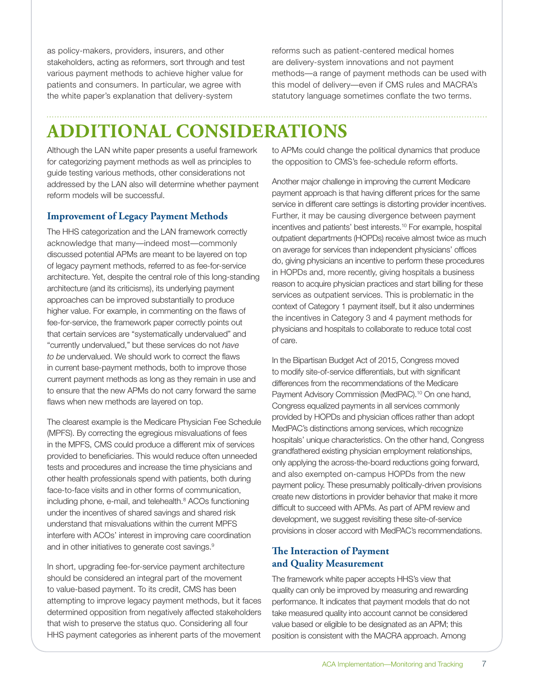as policy-makers, providers, insurers, and other stakeholders, acting as reformers, sort through and test various payment methods to achieve higher value for patients and consumers. In particular, we agree with the white paper's explanation that delivery-system

reforms such as patient-centered medical homes are delivery-system innovations and not payment methods—a range of payment methods can be used with this model of delivery—even if CMS rules and MACRA's statutory language sometimes conflate the two terms.

# **ADDITIONAL CONSIDERATIONS**

Although the LAN white paper presents a useful framework for categorizing payment methods as well as principles to guide testing various methods, other considerations not addressed by the LAN also will determine whether payment reform models will be successful.

### **Improvement of Legacy Payment Methods**

The HHS categorization and the LAN framework correctly acknowledge that many—indeed most—commonly discussed potential APMs are meant to be layered on top of legacy payment methods, referred to as fee-for-service architecture. Yet, despite the central role of this long-standing architecture (and its criticisms), its underlying payment approaches can be improved substantially to produce higher value. For example, in commenting on the flaws of fee-for-service, the framework paper correctly points out that certain services are "systematically undervalued" and "currently undervalued," but these services do not *have to be* undervalued. We should work to correct the flaws in current base-payment methods, both to improve those current payment methods as long as they remain in use and to ensure that the new APMs do not carry forward the same flaws when new methods are layered on top.

The clearest example is the Medicare Physician Fee Schedule (MPFS). By correcting the egregious misvaluations of fees in the MPFS, CMS could produce a different mix of services provided to beneficiaries. This would reduce often unneeded tests and procedures and increase the time physicians and other health professionals spend with patients, both during face-to-face visits and in other forms of communication, including phone, e-mail, and telehealth.<sup>8</sup> ACOs functioning under the incentives of shared savings and shared risk understand that misvaluations within the current MPFS interfere with ACOs' interest in improving care coordination and in other initiatives to generate cost savings.<sup>9</sup>

In short, upgrading fee-for-service payment architecture should be considered an integral part of the movement to value-based payment. To its credit, CMS has been attempting to improve legacy payment methods, but it faces determined opposition from negatively affected stakeholders that wish to preserve the status quo. Considering all four HHS payment categories as inherent parts of the movement

to APMs could change the political dynamics that produce the opposition to CMS's fee-schedule reform efforts.

Another major challenge in improving the current Medicare payment approach is that having different prices for the same service in different care settings is distorting provider incentives. Further, it may be causing divergence between payment incentives and patients' best interests.10 For example, hospital outpatient departments (HOPDs) receive almost twice as much on average for services than independent physicians' offices do, giving physicians an incentive to perform these procedures in HOPDs and, more recently, giving hospitals a business reason to acquire physician practices and start billing for these services as outpatient services. This is problematic in the context of Category 1 payment itself, but it also undermines the incentives in Category 3 and 4 payment methods for physicians and hospitals to collaborate to reduce total cost of care.

In the Bipartisan Budget Act of 2015, Congress moved to modify site-of-service differentials, but with significant differences from the recommendations of the Medicare Payment Advisory Commission (MedPAC).<sup>10</sup> On one hand, Congress equalized payments in all services commonly provided by HOPDs and physician offices rather than adopt MedPAC's distinctions among services, which recognize hospitals' unique characteristics. On the other hand, Congress grandfathered existing physician employment relationships, only applying the across-the-board reductions going forward, and also exempted on-campus HOPDs from the new payment policy. These presumably politically-driven provisions create new distortions in provider behavior that make it more difficult to succeed with APMs. As part of APM review and development, we suggest revisiting these site-of-service provisions in closer accord with MedPAC's recommendations.

### **The Interaction of Payment and Quality Measurement**

The framework white paper accepts HHS's view that quality can only be improved by measuring and rewarding performance. It indicates that payment models that do not take measured quality into account cannot be considered value based or eligible to be designated as an APM; this position is consistent with the MACRA approach. Among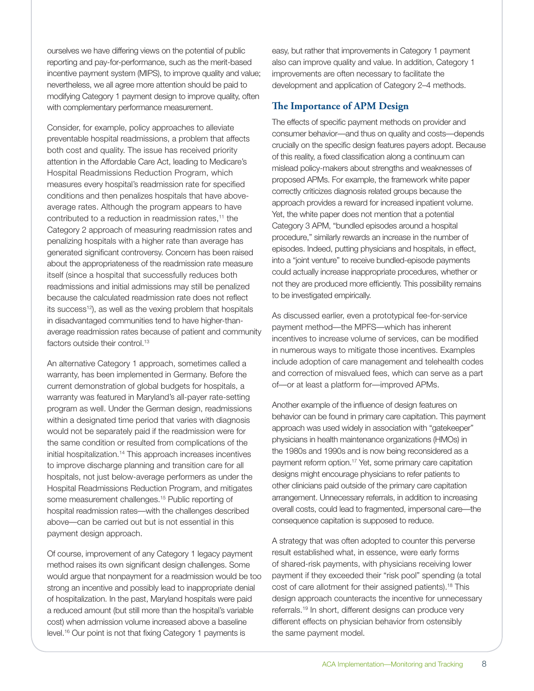ourselves we have differing views on the potential of public reporting and pay-for-performance, such as the merit-based incentive payment system (MIPS), to improve quality and value; nevertheless, we all agree more attention should be paid to modifying Category 1 payment design to improve quality, often with complementary performance measurement.

Consider, for example, policy approaches to alleviate preventable hospital readmissions, a problem that affects both cost and quality. The issue has received priority attention in the Affordable Care Act, leading to Medicare's Hospital Readmissions Reduction Program, which measures every hospital's readmission rate for specified conditions and then penalizes hospitals that have aboveaverage rates. Although the program appears to have contributed to a reduction in readmission rates,<sup>11</sup> the Category 2 approach of measuring readmission rates and penalizing hospitals with a higher rate than average has generated significant controversy. Concern has been raised about the appropriateness of the readmission rate measure itself (since a hospital that successfully reduces both readmissions and initial admissions may still be penalized because the calculated readmission rate does not reflect its success<sup>12</sup>), as well as the vexing problem that hospitals in disadvantaged communities tend to have higher-thanaverage readmission rates because of patient and community factors outside their control.<sup>13</sup>

An alternative Category 1 approach, sometimes called a warranty, has been implemented in Germany. Before the current demonstration of global budgets for hospitals, a warranty was featured in Maryland's all-payer rate-setting program as well. Under the German design, readmissions within a designated time period that varies with diagnosis would not be separately paid if the readmission were for the same condition or resulted from complications of the initial hospitalization.<sup>14</sup> This approach increases incentives to improve discharge planning and transition care for all hospitals, not just below-average performers as under the Hospital Readmissions Reduction Program, and mitigates some measurement challenges.<sup>15</sup> Public reporting of hospital readmission rates—with the challenges described above—can be carried out but is not essential in this payment design approach.

Of course, improvement of any Category 1 legacy payment method raises its own significant design challenges. Some would argue that nonpayment for a readmission would be too strong an incentive and possibly lead to inappropriate denial of hospitalization. In the past, Maryland hospitals were paid a reduced amount (but still more than the hospital's variable cost) when admission volume increased above a baseline level.16 Our point is not that fixing Category 1 payments is

easy, but rather that improvements in Category 1 payment also can improve quality and value. In addition, Category 1 improvements are often necessary to facilitate the development and application of Category 2–4 methods.

### **The Importance of APM Design**

The effects of specific payment methods on provider and consumer behavior—and thus on quality and costs—depends crucially on the specific design features payers adopt. Because of this reality, a fixed classification along a continuum can mislead policy-makers about strengths and weaknesses of proposed APMs. For example, the framework white paper correctly criticizes diagnosis related groups because the approach provides a reward for increased inpatient volume. Yet, the white paper does not mention that a potential Category 3 APM, "bundled episodes around a hospital procedure," similarly rewards an increase in the number of episodes. Indeed, putting physicians and hospitals, in effect, into a "joint venture" to receive bundled-episode payments could actually increase inappropriate procedures, whether or not they are produced more efficiently. This possibility remains to be investigated empirically.

As discussed earlier, even a prototypical fee-for-service payment method—the MPFS—which has inherent incentives to increase volume of services, can be modified in numerous ways to mitigate those incentives. Examples include adoption of care management and telehealth codes and correction of misvalued fees, which can serve as a part of—or at least a platform for—improved APMs.

Another example of the influence of design features on behavior can be found in primary care capitation. This payment approach was used widely in association with "gatekeeper" physicians in health maintenance organizations (HMOs) in the 1980s and 1990s and is now being reconsidered as a payment reform option.17 Yet, some primary care capitation designs might encourage physicians to refer patients to other clinicians paid outside of the primary care capitation arrangement. Unnecessary referrals, in addition to increasing overall costs, could lead to fragmented, impersonal care—the consequence capitation is supposed to reduce.

A strategy that was often adopted to counter this perverse result established what, in essence, were early forms of shared-risk payments, with physicians receiving lower payment if they exceeded their "risk pool" spending (a total cost of care allotment for their assigned patients).<sup>18</sup> This design approach counteracts the incentive for unnecessary referrals.19 In short, different designs can produce very different effects on physician behavior from ostensibly the same payment model.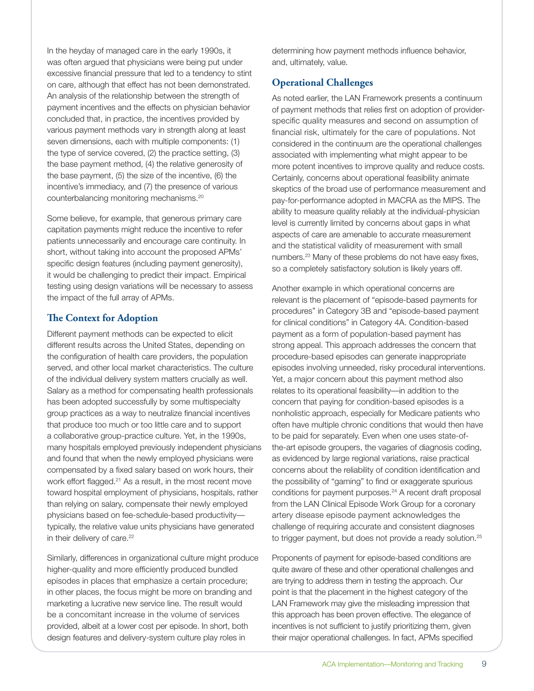In the heyday of managed care in the early 1990s, it was often argued that physicians were being put under excessive financial pressure that led to a tendency to stint on care, although that effect has not been demonstrated. An analysis of the relationship between the strength of payment incentives and the effects on physician behavior concluded that, in practice, the incentives provided by various payment methods vary in strength along at least seven dimensions, each with multiple components: (1) the type of service covered, (2) the practice setting, (3) the base payment method, (4) the relative generosity of the base payment, (5) the size of the incentive, (6) the incentive's immediacy, and (7) the presence of various counterbalancing monitoring mechanisms.20

Some believe, for example, that generous primary care capitation payments might reduce the incentive to refer patients unnecessarily and encourage care continuity. In short, without taking into account the proposed APMs' specific design features (including payment generosity), it would be challenging to predict their impact. Empirical testing using design variations will be necessary to assess the impact of the full array of APMs.

### **The Context for Adoption**

Different payment methods can be expected to elicit different results across the United States, depending on the configuration of health care providers, the population served, and other local market characteristics. The culture of the individual delivery system matters crucially as well. Salary as a method for compensating health professionals has been adopted successfully by some multispecialty group practices as a way to neutralize financial incentives that produce too much or too little care and to support a collaborative group-practice culture. Yet, in the 1990s, many hospitals employed previously independent physicians and found that when the newly employed physicians were compensated by a fixed salary based on work hours, their work effort flagged.<sup>21</sup> As a result, in the most recent move toward hospital employment of physicians, hospitals, rather than relying on salary, compensate their newly employed physicians based on fee-schedule-based productivity typically, the relative value units physicians have generated in their delivery of care.<sup>22</sup>

Similarly, differences in organizational culture might produce higher-quality and more efficiently produced bundled episodes in places that emphasize a certain procedure; in other places, the focus might be more on branding and marketing a lucrative new service line. The result would be a concomitant increase in the volume of services provided, albeit at a lower cost per episode. In short, both design features and delivery-system culture play roles in

determining how payment methods influence behavior, and, ultimately, value.

### **Operational Challenges**

As noted earlier, the LAN Framework presents a continuum of payment methods that relies first on adoption of providerspecific quality measures and second on assumption of financial risk, ultimately for the care of populations. Not considered in the continuum are the operational challenges associated with implementing what might appear to be more potent incentives to improve quality and reduce costs. Certainly, concerns about operational feasibility animate skeptics of the broad use of performance measurement and pay-for-performance adopted in MACRA as the MIPS. The ability to measure quality reliably at the individual-physician level is currently limited by concerns about gaps in what aspects of care are amenable to accurate measurement and the statistical validity of measurement with small numbers.23 Many of these problems do not have easy fixes, so a completely satisfactory solution is likely years off.

Another example in which operational concerns are relevant is the placement of "episode-based payments for procedures" in Category 3B and "episode-based payment for clinical conditions" in Category 4A. Condition-based payment as a form of population-based payment has strong appeal. This approach addresses the concern that procedure-based episodes can generate inappropriate episodes involving unneeded, risky procedural interventions. Yet, a major concern about this payment method also relates to its operational feasibility—in addition to the concern that paying for condition-based episodes is a nonholistic approach, especially for Medicare patients who often have multiple chronic conditions that would then have to be paid for separately. Even when one uses state-ofthe-art episode groupers, the vagaries of diagnosis coding, as evidenced by large regional variations, raise practical concerns about the reliability of condition identification and the possibility of "gaming" to find or exaggerate spurious conditions for payment purposes.<sup>24</sup> A recent draft proposal from the LAN Clinical Episode Work Group for a coronary artery disease episode payment acknowledges the challenge of requiring accurate and consistent diagnoses to trigger payment, but does not provide a ready solution.<sup>25</sup>

Proponents of payment for episode-based conditions are quite aware of these and other operational challenges and are trying to address them in testing the approach. Our point is that the placement in the highest category of the LAN Framework may give the misleading impression that this approach has been proven effective. The elegance of incentives is not sufficient to justify prioritizing them, given their major operational challenges. In fact, APMs specified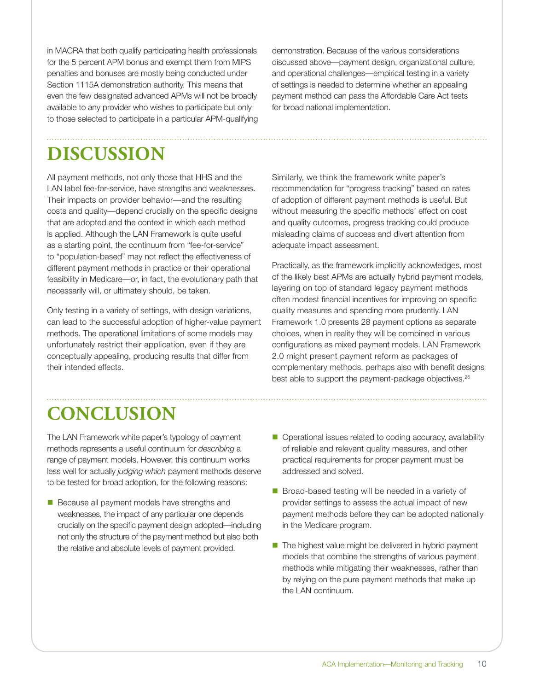in MACRA that both qualify participating health professionals for the 5 percent APM bonus and exempt them from MIPS penalties and bonuses are mostly being conducted under Section 1115A demonstration authority. This means that even the few designated advanced APMs will not be broadly available to any provider who wishes to participate but only to those selected to participate in a particular APM-qualifying demonstration. Because of the various considerations discussed above—payment design, organizational culture, and operational challenges—empirical testing in a variety of settings is needed to determine whether an appealing payment method can pass the Affordable Care Act tests for broad national implementation.

# **DISCUSSION**

All payment methods, not only those that HHS and the LAN label fee-for-service, have strengths and weaknesses. Their impacts on provider behavior—and the resulting costs and quality—depend crucially on the specific designs that are adopted and the context in which each method is applied. Although the LAN Framework is quite useful as a starting point, the continuum from "fee-for-service" to "population-based" may not reflect the effectiveness of different payment methods in practice or their operational feasibility in Medicare—or, in fact, the evolutionary path that necessarily will, or ultimately should, be taken.

Only testing in a variety of settings, with design variations, can lead to the successful adoption of higher-value payment methods. The operational limitations of some models may unfortunately restrict their application, even if they are conceptually appealing, producing results that differ from their intended effects.

Similarly, we think the framework white paper's recommendation for "progress tracking" based on rates of adoption of different payment methods is useful. But without measuring the specific methods' effect on cost and quality outcomes, progress tracking could produce misleading claims of success and divert attention from adequate impact assessment.

Practically, as the framework implicitly acknowledges, most of the likely best APMs are actually hybrid payment models, layering on top of standard legacy payment methods often modest financial incentives for improving on specific quality measures and spending more prudently. LAN Framework 1.0 presents 28 payment options as separate choices, when in reality they will be combined in various configurations as mixed payment models. LAN Framework 2.0 might present payment reform as packages of complementary methods, perhaps also with benefit designs best able to support the payment-package objectives.<sup>26</sup>

# **CONCLUSION**

The LAN Framework white paper's typology of payment methods represents a useful continuum for *describing* a range of payment models. However, this continuum works less well for actually *judging which* payment methods deserve to be tested for broad adoption, for the following reasons:

- Because all payment models have strengths and weaknesses, the impact of any particular one depends crucially on the specific payment design adopted—including not only the structure of the payment method but also both the relative and absolute levels of payment provided.
- Operational issues related to coding accuracy, availability of reliable and relevant quality measures, and other practical requirements for proper payment must be addressed and solved.
- Broad-based testing will be needed in a variety of provider settings to assess the actual impact of new payment methods before they can be adopted nationally in the Medicare program.
- $\blacksquare$  The highest value might be delivered in hybrid payment models that combine the strengths of various payment methods while mitigating their weaknesses, rather than by relying on the pure payment methods that make up the LAN continuum.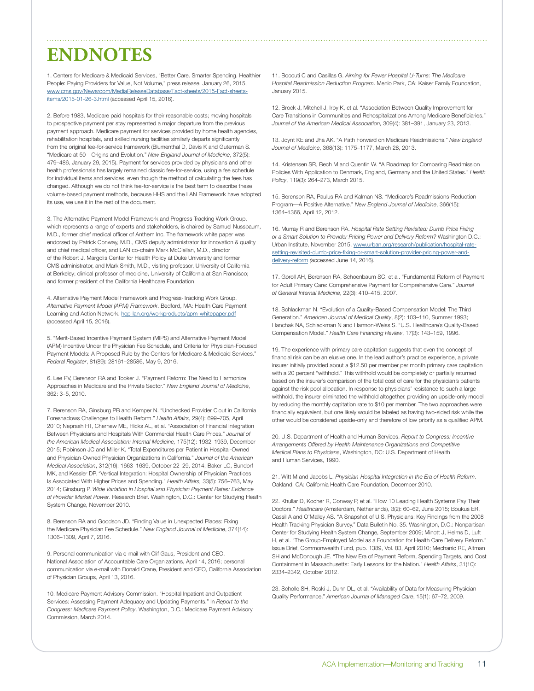# **ENDNOTES**

1. Centers for Medicare & Medicaid Services, "Better Care. Smarter Spending. Healthier People: Paying Providers for Value, Not Volume," press release, January 26, 2015, [www.cms.gov/Newsroom/MediaReleaseDatabase/Fact-sheets/2015-Fact-sheets](https://www.cms.gov/Newsroom/MediaReleaseDatabase/Fact-sheets/2015-Fact-sheets-items/2015-01-26-3.html)[items/2015-01-26-3.html](https://www.cms.gov/Newsroom/MediaReleaseDatabase/Fact-sheets/2015-Fact-sheets-items/2015-01-26-3.html) (accessed April 15, 2016).

2. Before 1983, Medicare paid hospitals for their reasonable costs; moving hospitals to prospective payment per stay represented a major departure from the previous payment approach. Medicare payment for services provided by home health agencies, rehabilitation hospitals, and skilled nursing facilities similarly departs significantly from the original fee-for-service framework (Blumenthal D, Davis K and Guterman S. "Medicare at 50—Origins and Evolution." *New England Journal of Medicine*, 372(5): 479–486, January 29, 2015). Payment for services provided by physicians and other health professionals has largely remained classic fee-for-service, using a fee schedule for individual items and services, even though the method of calculating the fees has changed. Although we do not think fee-for-service is the best term to describe these volume-based payment methods, because HHS and the LAN Framework have adopted its use, we use it in the rest of the document.

3. The Alternative Payment Model Framework and Progress Tracking Work Group, which represents a range of experts and stakeholders, is chaired by Samuel Nussbaum, M.D., former chief medical officer of Anthem Inc. The framework white paper was endorsed by Patrick Conway, M.D., CMS deputy administrator for innovation & quality and chief medical officer, and LAN co-chairs Mark McClellan, M.D., director of the Robert J. Margolis Center for Health Policy at Duke University and former CMS administrator, and Mark Smith, M.D., visiting professor, University of California at Berkeley; clinical professor of medicine, University of California at San Francisco; and former president of the California Healthcare Foundation.

4. Alternative Payment Model Framework and Progress-Tracking Work Group. *Alternative Payment Model (APM) Framework*. Bedford, MA: Health Care Payment Learning and Action Network. [hcp-lan.org/workproducts/apm-whitepaper.pdf](https://hcp-lan.org/workproducts/apm-whitepaper.pdf) (accessed April 15, 2016).

5. "Merit-Based Incentive Payment System (MIPS) and Alternative Payment Model (APM) Incentive Under the Physician Fee Schedule, and Criteria for Physician-Focused Payment Models: A Proposed Rule by the Centers for Medicare & Medicaid Services." *Federal Register*, 81(89): 28161–28586, May 9, 2016.

6. Lee PV, Berenson RA and Tooker J. "Payment Reform: The Need to Harmonize Approaches in Medicare and the Private Sector." *New England Journal of Medicine*, 362: 3–5, 2010.

7. Berenson RA, Ginsburg PB and Kemper N. "Unchecked Provider Clout in California Foreshadows Challenges to Health Reform." *Health Affairs*, 29(4): 699–705, April 2010; Neprash HT, Chernew ME, Hicks AL, et al. "Association of Financial Integration Between Physicians and Hospitals With Commercial Health Care Prices." *Journal of the American Medical Association: Internal Medicine,* 175(12): 1932–1939, December 2015; Robinson JC and Miller K. "Total Expenditures per Patient in Hospital-Owned and Physician-Owned Physician Organizations in California." *Journal of the American Medical Association*, 312(16): 1663–1639, October 22–29, 2014; Baker LC, Bundorf MK, and Kessler DP. "Vertical Integration: Hospital Ownership of Physician Practices Is Associated With Higher Prices and Spending." *Health Affairs,* 33(5): 756–763, May 2014; Ginsburg P. *Wide Variation in Hospital and Physician Payment Rates: Evidence of Provider Market Power*. Research Brief. Washington, D.C.: Center for Studying Health System Change, November 2010.

8. Berenson RA and Goodson JD. "Finding Value in Unexpected Places: Fixing the Medicare Physician Fee Schedule." *New England Journal of Medicine*, 374(14): 1306–1309, April 7, 2016.

9. Personal communication via e-mail with Clif Gaus, President and CEO, National Association of Accountable Care Organizations, April 14, 2016; personal communication via e-mail with Donald Crane, President and CEO, California Association of Physician Groups, April 13, 2016.

10. Medicare Payment Advisory Commission. "Hospital Inpatient and Outpatient Services: Assessing Payment Adequacy and Updating Payments." In *Report to the Congress: Medicare Payment Policy*. Washington, D.C.: Medicare Payment Advisory Commission, March 2014.

11. Boccuti C and Casillas G. *Aiming for Fewer Hospital U-Turns: The Medicare Hospital Readmission Reduction Program*. Menlo Park, CA: Kaiser Family Foundation, January 2015.

12. Brock J, Mitchell J, Irby K, et al. "Association Between Quality Improvement for Care Transitions in Communities and Rehospitalizations Among Medicare Beneficiaries." *Journal of the American Medical Association,* 309(4): 381–391, January 23, 2013.

13. Joynt KE and Jha AK. "A Path Forward on Medicare Readmissions." *New England Journal of Medicine*, 368(13): 1175–1177, March 28, 2013.

14. Kristensen SR, Bech M and Quentin W. "A Roadmap for Comparing Readmission Policies With Application to Denmark, England, Germany and the United States." *Health Policy*, 119(3): 264–273, March 2015.

15. Berenson RA, Paulus RA and Kalman NS. "Medicare's Readmissions-Reduction Program—A Positive Alternative." *New England Journal of Medicine*, 366(15): 1364–1366, April 12, 2012.

16. Murray R and Berenson RA. *Hospital Rate Setting Revisited: Dumb Price Fixing or a Smart Solution to Provider Pricing Power and Delivery Reform?* Washington D.C.: Urban Institute, November 2015. [www.urban.org/research/publication/hospital-rate](http://www.urban.org/research/publication/hospital-rate-setting-revisited-dumb-price-fixing-or-smart-solution-provider-pricing-power-and-delivery-reform)[setting-revisited-dumb-price-fixing-or-smart-solution-provider-pricing-power-and](http://www.urban.org/research/publication/hospital-rate-setting-revisited-dumb-price-fixing-or-smart-solution-provider-pricing-power-and-delivery-reform)[delivery-reform](http://www.urban.org/research/publication/hospital-rate-setting-revisited-dumb-price-fixing-or-smart-solution-provider-pricing-power-and-delivery-reform) *(*accessed June 14, 2016).

17. Goroll AH, Berenson RA, Schoenbaum SC, et al. "Fundamental Reform of Payment for Adult Primary Care: Comprehensive Payment for Comprehensive Care." *Journal of General Internal Medicine*, 22(3): 410–415, 2007.

18. Schlackman N. "Evolution of a Quality-Based Compensation Model: The Third Generation." *American Journal of Medical Quality*, 8(2): 103–110, Summer 1993; Hanchak NA, Schlackman N and Harmon-Weiss S. "U.S. Healthcare's Quality-Based Compensation Model." *Health Care Financing Review*, 17(3): 143–159, 1996.

19. The experience with primary care capitation suggests that even the concept of financial risk can be an elusive one. In the lead author's practice experience, a private insurer initially provided about a \$12.50 per member per month primary care capitation with a 20 percent "withhold." This withhold would be completely or partially returned based on the insurer's comparison of the total cost of care for the physician's patients against the risk pool allocation. In response to physicians' resistance to such a large withhold, the insurer eliminated the withhold altogether, providing an upside-only model by reducing the monthly capitation rate to \$10 per member. The two approaches were financially equivalent, but one likely would be labeled as having two-sided risk while the other would be considered upside-only and therefore of low priority as a qualified APM.

20. U.S. Department of Health and Human Services. *Report to Congress: Incentive Arrangements Offered by Health Maintenance Organizations and Competitive Medical Plans to Physicians*, Washington, DC: U.S. Department of Health and Human Services, 1990.

21. Witt M and Jacobs L. *Physician-Hospital Integration in the Era of Health Reform*. Oakland, CA: California Health Care Foundation, December 2010.

22. Khullar D, Kocher R, Conway P, et al. "How 10 Leading Health Systems Pay Their Doctors." *Healthcare* (Amsterdam, Netherlands), 3(2): 60–62, June 2015; Boukus ER, Cassil A and O'Malley AS. "A Snapshot of U.S. Physicians: Key Findings from the 2008 Health Tracking Physician Survey." Data Bulletin No. 35. Washington, D.C.: Nonpartisan Center for Studying Health System Change, September 2009; Minott J, Helms D, Luft H, et al. "The Group-Employed Model as a Foundation for Health Care Delivery Reform." Issue Brief, Commonwealth Fund, pub. 1389, Vol. 83, April 2010; Mechanic RE, Altman SH and McDonough JE. "The New Era of Payment Reform, Spending Targets, and Cost Containment in Massachusetts: Early Lessons for the Nation." *Health Affairs*, 31(10): 2334–2342, October 2012.

23. Scholle SH, Roski J, Dunn DL, et al. "Availability of Data for Measuring Physician Quality Performance." *American Journal of Managed Care*, 15(1): 67–72, 2009.